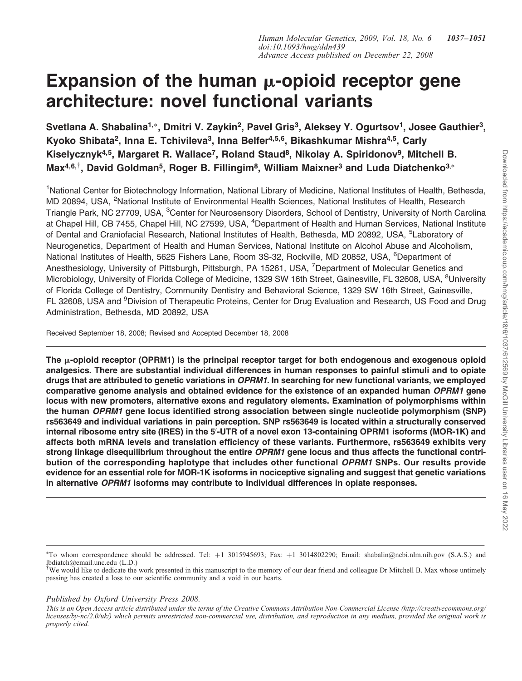# Expansion of the human  $\mu$ -opioid receptor gene architecture: novel functional variants

Svetlana A. Shabalina<sup>1,</sup>\*, Dmitri V. Zaykin<sup>2</sup>, Pavel Gris<sup>3</sup>, Aleksey Y. Ogurtsov<sup>1</sup>, Josee Gauthier<sup>3</sup>, Kyoko Shibata<sup>2</sup>, Inna E. Tchivileva<sup>3</sup>, Inna Belfer<sup>4,5,6</sup>, Bikashkumar Mishra<sup>4,5</sup>, Carly Kiselycznyk<sup>4,5</sup>, Margaret R. Wallace<sup>7</sup>, Roland Staud<sup>8</sup>, Nikolay A. Spiridonov<sup>9</sup>, Mitchell B.  $\textsf{Max}^{4,6,\dagger},$  David Goldman $^5$ , Roger B. Fillingim $^8$ , William Maixner $^3$  and Luda Diatchenko $^{3,*}$ 

<sup>1</sup>National Center for Biotechnology Information, National Library of Medicine, National Institutes of Health, Bethesda, MD 20894, USA, <sup>2</sup>National Institute of Environmental Health Sciences, National Institutes of Health, Research Triangle Park, NC 27709, USA, <sup>3</sup>Center for Neurosensory Disorders, School of Dentistry, University of North Carolina at Chapel Hill, CB 7455, Chapel Hill, NC 27599, USA, <sup>4</sup>Department of Health and Human Services, National Institute of Dental and Craniofacial Research, National Institutes of Health, Bethesda, MD 20892, USA, <sup>5</sup>Laboratory of Neurogenetics, Department of Health and Human Services, National Institute on Alcohol Abuse and Alcoholism, National Institutes of Health, 5625 Fishers Lane, Room 3S-32, Rockville, MD 20852, USA, <sup>6</sup>Department of Anesthesiology, University of Pittsburgh, Pittsburgh, PA 15261, USA, <sup>7</sup>Department of Molecular Genetics and Microbiology, University of Florida College of Medicine, 1329 SW 16th Street, Gainesville, FL 32608, USA, <sup>8</sup>University of Florida College of Dentistry, Community Dentistry and Behavioral Science, 1329 SW 16th Street, Gainesville, FL 32608, USA and <sup>9</sup>Division of Therapeutic Proteins, Center for Drug Evaluation and Research, US Food and Drug Administration, Bethesda, MD 20892, USA

Received September 18, 2008; Revised and Accepted December 18, 2008

The  $\mu$ -opioid receptor (OPRM1) is the principal receptor target for both endogenous and exogenous opioid analgesics. There are substantial individual differences in human responses to painful stimuli and to opiate drugs that are attributed to genetic variations in OPRM1. In searching for new functional variants, we employed comparative genome analysis and obtained evidence for the existence of an expanded human OPRM1 gene locus with new promoters, alternative exons and regulatory elements. Examination of polymorphisms within the human OPRM1 gene locus identified strong association between single nucleotide polymorphism (SNP) rs563649 and individual variations in pain perception. SNP rs563649 is located within a structurally conserved internal ribosome entry site (IRES) in the 5'-UTR of a novel exon 13-containing OPRM1 isoforms (MOR-1K) and affects both mRNA levels and translation efficiency of these variants. Furthermore, rs563649 exhibits very strong linkage disequilibrium throughout the entire OPRM1 gene locus and thus affects the functional contribution of the corresponding haplotype that includes other functional OPRM1 SNPs. Our results provide evidence for an essential role for MOR-1K isoforms in nociceptive signaling and suggest that genetic variations in alternative OPRM1 isoforms may contribute to individual differences in opiate responses.

# Published by Oxford University Press 2008.

<sup>\*</sup>To whom correspondence should be addressed. Tel: +1 3015945693; Fax: +1 3014802290; Email: shabalin@ncbi.nlm.nih.gov (S.A.S.) and lbdiatch@email.unc.edu (L.D.)

<sup>†</sup> We would like to dedicate the work presented in this manuscript to the memory of our dear friend and colleague Dr Mitchell B. Max whose untimely passing has created a loss to our scientific community and a void in our hearts.

This is an Open Access article distributed under the terms of the Creative Commons Attribution Non-Commercial License (http://creativecommons.org/ licenses/by-nc/2.0/uk/) which permits unrestricted non-commercial use, distribution, and reproduction in any medium, provided the original work is properly cited.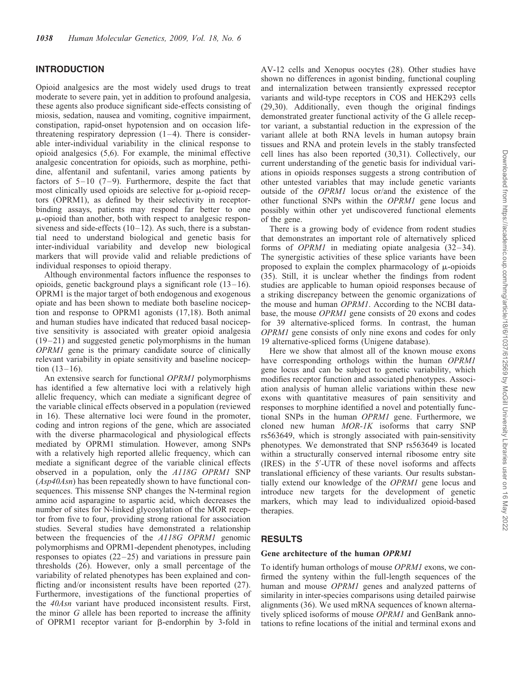# INTRODUCTION

Opioid analgesics are the most widely used drugs to treat moderate to severe pain, yet in addition to profound analgesia, these agents also produce significant side-effects consisting of miosis, sedation, nausea and vomiting, cognitive impairment, constipation, rapid-onset hypotension and on occasion lifethreatening respiratory depression  $(1-4)$ . There is considerable inter-individual variability in the clinical response to opioid analgesics (5,6). For example, the minimal effective analgesic concentration for opioids, such as morphine, pethidine, alfentanil and sufentanil, varies among patients by factors of  $5-10$  (7-9). Furthermore, despite the fact that most clinically used opioids are selective for  $\mu$ -opioid receptors (OPRM1), as defined by their selectivity in receptorbinding assays, patients may respond far better to one  $\mu$ -opioid than another, both with respect to analgesic responsiveness and side-effects  $(10-12)$ . As such, there is a substantial need to understand biological and genetic basis for inter-individual variability and develop new biological markers that will provide valid and reliable predictions of individual responses to opioid therapy.

Although environmental factors influence the responses to opioids, genetic background plays a significant role (13–16). OPRM1 is the major target of both endogenous and exogenous opiate and has been shown to mediate both baseline nociception and response to OPRM1 agonists (17,18). Both animal and human studies have indicated that reduced basal nociceptive sensitivity is associated with greater opioid analgesia (19–21) and suggested genetic polymorphisms in the human OPRM1 gene is the primary candidate source of clinically relevant variability in opiate sensitivity and baseline nociception  $(13-16)$ .

An extensive search for functional OPRM1 polymorphisms has identified a few alternative loci with a relatively high allelic frequency, which can mediate a significant degree of the variable clinical effects observed in a population (reviewed in 16). These alternative loci were found in the promoter, coding and intron regions of the gene, which are associated with the diverse pharmacological and physiological effects mediated by OPRM1 stimulation. However, among SNPs with a relatively high reported allelic frequency, which can mediate a significant degree of the variable clinical effects observed in a population, only the A118G OPRM1 SNP (Asp40Asn) has been repeatedly shown to have functional consequences. This missense SNP changes the N-terminal region amino acid asparagine to aspartic acid, which decreases the number of sites for N-linked glycosylation of the MOR receptor from five to four, providing strong rational for association studies. Several studies have demonstrated a relationship between the frequencies of the A118G OPRM1 genomic polymorphisms and OPRM1-dependent phenotypes, including responses to opiates (22–25) and variations in pressure pain thresholds (26). However, only a small percentage of the variability of related phenotypes has been explained and conflicting and/or inconsistent results have been reported (27). Furthermore, investigations of the functional properties of the 40Asn variant have produced inconsistent results. First, the minor G allele has been reported to increase the affinity of OPRM1 receptor variant for  $\beta$ -endorphin by 3-fold in

AV-12 cells and Xenopus oocytes (28). Other studies have shown no differences in agonist binding, functional coupling and internalization between transiently expressed receptor variants and wild-type receptors in COS and HEK293 cells (29,30). Additionally, even though the original findings demonstrated greater functional activity of the G allele receptor variant, a substantial reduction in the expression of the variant allele at both RNA levels in human autopsy brain tissues and RNA and protein levels in the stably transfected cell lines has also been reported (30,31). Collectively, our current understanding of the genetic basis for individual variations in opioids responses suggests a strong contribution of other untested variables that may include genetic variants outside of the OPRM1 locus or/and the existence of the other functional SNPs within the OPRM1 gene locus and possibly within other yet undiscovered functional elements of the gene.

There is a growing body of evidence from rodent studies that demonstrates an important role of alternatively spliced forms of OPRM1 in mediating opiate analgesia (32–34). The synergistic activities of these splice variants have been proposed to explain the complex pharmacology of  $\mu$ -opioids (35). Still, it is unclear whether the findings from rodent studies are applicable to human opioid responses because of a striking discrepancy between the genomic organizations of the mouse and human OPRM1. According to the NCBI database, the mouse OPRM1 gene consists of 20 exons and codes for 39 alternative-spliced forms. In contrast, the human OPRM1 gene consists of only nine exons and codes for only 19 alternative-spliced forms (Unigene database).

Here we show that almost all of the known mouse exons have corresponding orthologs within the human OPRM1 gene locus and can be subject to genetic variability, which modifies receptor function and associated phenotypes. Association analysis of human allelic variations within these new exons with quantitative measures of pain sensitivity and responses to morphine identified a novel and potentially functional SNPs in the human OPRM1 gene. Furthermore, we cloned new human MOR-1K isoforms that carry SNP rs563649, which is strongly associated with pain-sensitivity phenotypes. We demonstrated that SNP rs563649 is located within a structurally conserved internal ribosome entry site (IRES) in the 5'-UTR of these novel isoforms and affects translational efficiency of these variants. Our results substantially extend our knowledge of the OPRM1 gene locus and introduce new targets for the development of genetic markers, which may lead to individualized opioid-based therapies.

# RESULTS

# Gene architecture of the human OPRM1

To identify human orthologs of mouse OPRM1 exons, we confirmed the synteny within the full-length sequences of the human and mouse OPRM1 genes and analyzed patterns of similarity in inter-species comparisons using detailed pairwise alignments (36). We used mRNA sequences of known alternatively spliced isoforms of mouse OPRM1 and GenBank annotations to refine locations of the initial and terminal exons and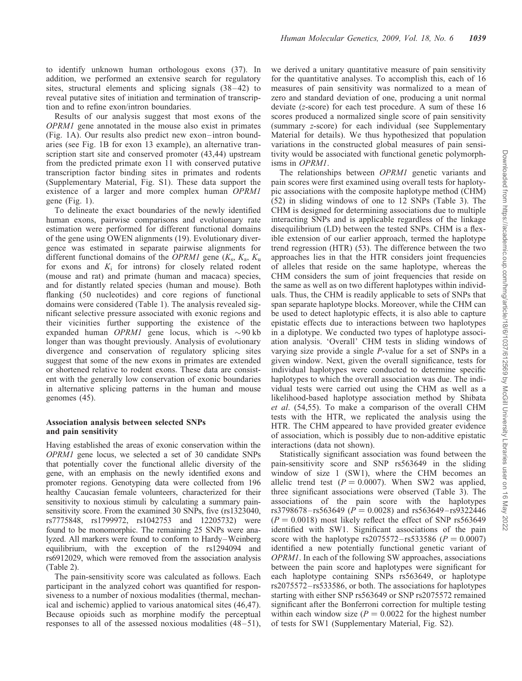to identify unknown human orthologous exons (37). In addition, we performed an extensive search for regulatory sites, structural elements and splicing signals (38–42) to reveal putative sites of initiation and termination of transcription and to refine exon/intron boundaries.

Results of our analysis suggest that most exons of the OPRM1 gene annotated in the mouse also exist in primates (Fig. 1A). Our results also predict new exon–intron boundaries (see Fig. 1B for exon 13 example), an alternative transcription start site and conserved promoter (43,44) upstream from the predicted primate exon 11 with conserved putative transcription factor binding sites in primates and rodents (Supplementary Material, Fig. S1). These data support the existence of a larger and more complex human OPRM1 gene (Fig. 1).

To delineate the exact boundaries of the newly identified human exons, pairwise comparisons and evolutionary rate estimation were performed for different functional domains of the gene using OWEN alignments (19). Evolutionary divergence was estimated in separate pairwise alignments for different functional domains of the OPRM1 gene  $(K_s, K_a, K_u)$ for exons and  $K_i$  for introns) for closely related rodent (mouse and rat) and primate (human and macaca) species, and for distantly related species (human and mouse). Both flanking (50 nucleotides) and core regions of functional domains were considered (Table 1). The analysis revealed significant selective pressure associated with exonic regions and their vicinities further supporting the existence of the expanded human *OPRM1* gene locus, which is  $\sim$ 90 kb longer than was thought previously. Analysis of evolutionary divergence and conservation of regulatory splicing sites suggest that some of the new exons in primates are extended or shortened relative to rodent exons. These data are consistent with the generally low conservation of exonic boundaries in alternative splicing patterns in the human and mouse genomes (45).

# Association analysis between selected SNPs and pain sensitivity

Having established the areas of exonic conservation within the OPRM1 gene locus, we selected a set of 30 candidate SNPs that potentially cover the functional allelic diversity of the gene, with an emphasis on the newly identified exons and promoter regions. Genotyping data were collected from 196 healthy Caucasian female volunteers, characterized for their sensitivity to noxious stimuli by calculating a summary painsensitivity score. From the examined 30 SNPs, five (rs1323040, rs7775848, rs1799972, rs1042753 and 12205732) were found to be monomorphic. The remaining 25 SNPs were analyzed. All markers were found to conform to Hardy–Weinberg equilibrium, with the exception of the rs1294094 and rs6912029, which were removed from the association analysis (Table 2).

The pain-sensitivity score was calculated as follows. Each participant in the analyzed cohort was quantified for responsiveness to a number of noxious modalities (thermal, mechanical and ischemic) applied to various anatomical sites (46,47). Because opioids such as morphine modify the perceptual responses to all of the assessed noxious modalities (48–51), we derived a unitary quantitative measure of pain sensitivity for the quantitative analyses. To accomplish this, each of 16 measures of pain sensitivity was normalized to a mean of zero and standard deviation of one, producing a unit normal deviate (z-score) for each test procedure. A sum of these 16 scores produced a normalized single score of pain sensitivity (summary z-score) for each individual (see Supplementary Material for details). We thus hypothesized that population variations in the constructed global measures of pain sensitivity would be associated with functional genetic polymorphisms in OPRM1.

The relationships between OPRM1 genetic variants and pain scores were first examined using overall tests for haplotypic associations with the composite haplotype method (CHM) (52) in sliding windows of one to 12 SNPs (Table 3). The CHM is designed for determining associations due to multiple interacting SNPs and is applicable regardless of the linkage disequilibrium (LD) between the tested SNPs. CHM is a flexible extension of our earlier approach, termed the haplotype trend regression (HTR) (53). The difference between the two approaches lies in that the HTR considers joint frequencies of alleles that reside on the same haplotype, whereas the CHM considers the sum of joint frequencies that reside on the same as well as on two different haplotypes within individuals. Thus, the CHM is readily applicable to sets of SNPs that span separate haplotype blocks. Moreover, while the CHM can be used to detect haplotypic effects, it is also able to capture epistatic effects due to interactions between two haplotypes in a diplotype. We conducted two types of haplotype association analysis. 'Overall' CHM tests in sliding windows of varying size provide a single P-value for a set of SNPs in a given window. Next, given the overall significance, tests for individual haplotypes were conducted to determine specific haplotypes to which the overall association was due. The individual tests were carried out using the CHM as well as a likelihood-based haplotype association method by Shibata et al. (54,55). To make a comparison of the overall CHM tests with the HTR, we replicated the analysis using the HTR. The CHM appeared to have provided greater evidence of association, which is possibly due to non-additive epistatic interactions (data not shown).

Statistically significant association was found between the pain-sensitivity score and SNP rs563649 in the sliding window of size 1 (SW1), where the CHM becomes an allelic trend test  $(P = 0.0007)$ . When SW2 was applied, three significant associations were observed (Table 3). The associations of the pain score with the haplotypes rs3798678–rs563649 ( $P = 0.0028$ ) and rs563649–rs9322446  $(P = 0.0018)$  most likely reflect the effect of SNP rs563649 identified with SW1. Significant associations of the pain score with the haplotype rs2075572–rs533586 ( $P = 0.0007$ ) identified a new potentially functional genetic variant of OPRM1. In each of the following SW approaches, associations between the pain score and haplotypes were significant for each haplotype containing SNPs rs563649, or haplotype rs2075572–rs533586, or both. The associations for haplotypes starting with either SNP rs563649 or SNP rs2075572 remained significant after the Bonferroni correction for multiple testing within each window size  $(P = 0.0022$  for the highest number of tests for SW1 (Supplementary Material, Fig. S2).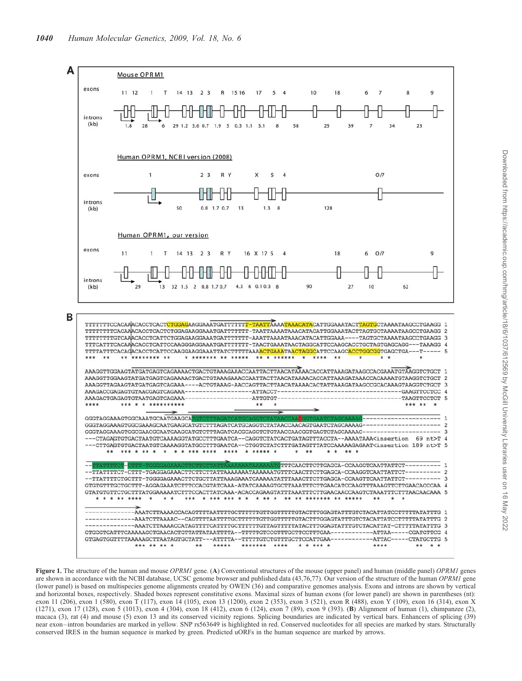

Figure 1. The structure of the human and mouse OPRM1 gene. (A) Conventional structures of the mouse (upper panel) and human (middle panel) OPRM1 genes are shown in accordance with the NCBI database, UCSC genome browser and published data (43,76,77). Our version of the structure of the human OPRM1 gene (lower panel) is based on multispecies genome alignments created by OWEN (36) and comparative genomes analysis. Exons and introns are shown by vertical and horizontal boxes, respectively. Shaded boxes represent constitutive exons. Maximal sizes of human exons (for lower panel) are shown in parentheses (nt): exon 11 (206), exon 1 (580), exon T (117), exon 14 (105), exon 13 (1200), exon 2 (353), exon 3 (521), exon R (488), exon Y (109), exon 16 (314), exon X (1271), exon 17 (128), exon 5 (1013), exon 4 (304), exon 18 (412), exon 6 (124), exon 7 (89), exon 9 (393). (B) Alignment of human (1), chimpanzee (2), macaca (3), rat (4) and mouse (5) exon 13 and its conserved vicinity regions. Splicing boundaries are indicated by vertical bars. Enhancers of splicing (39) near exon–intron boundaries are marked in yellow. SNP rs563649 is highlighted in red. Conserved nucleotides for all species are marked by stars. Structurally conserved IRES in the human sequence is marked by green. Predicted uORFs in the human sequence are marked by arrows.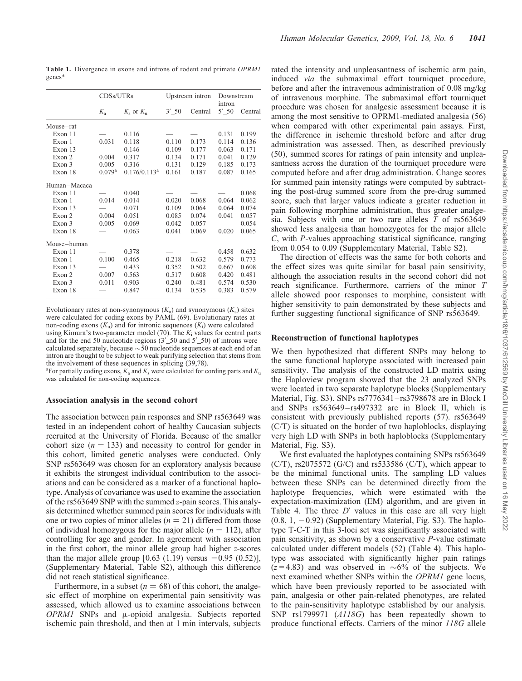|              | CDSs/UTRs            |                 |       | Upstream intron | Downstream<br>intron |         |  |
|--------------|----------------------|-----------------|-------|-----------------|----------------------|---------|--|
|              | $K_{a}$              | $K_s$ or $K_u$  | 3' 50 | Central         | 5' 50                | Central |  |
| Mouse-rat    |                      |                 |       |                 |                      |         |  |
| Exon 11      |                      | 0.116           |       |                 | 0.131                | 0.199   |  |
| Exon 1       | 0.031                | 0.118           | 0.110 | 0.173           | 0.114                | 0.136   |  |
| Exon 13      |                      | 0.146           | 0.109 | 0.177           | 0.063                | 0.171   |  |
| Exon 2       | 0.004                | 0.317           | 0.134 | 0.171           | 0.041                | 0.129   |  |
| Exon 3       | 0.005                | 0.316           | 0.131 | 0.129           | 0.185                | 0.173   |  |
| Exon 18      | $0.079$ <sup>a</sup> | $0.176/0.113^a$ | 0.161 | 0.187           | 0.087                | 0.165   |  |
| Human-Macaca |                      |                 |       |                 |                      |         |  |
| Exon 11      |                      | 0.040           |       |                 |                      | 0.068   |  |
| Exon 1       | 0.014                | 0.014           | 0.020 | 0.068           | 0.064                | 0.062   |  |
| Exon 13      |                      | 0.071           | 0.109 | 0.064           | 0.064                | 0.074   |  |
| Exon 2       | 0.004                | 0.051           | 0.085 | 0.074           | 0.041                | 0.057   |  |
| Exon 3       | 0.005                | 0.069           | 0.042 | 0.057           |                      | 0.054   |  |
| Exon 18      |                      | 0.063           | 0.041 | 0.069           | 0.020                | 0.065   |  |
| Mouse-human  |                      |                 |       |                 |                      |         |  |
| Exon 11      |                      | 0.378           |       |                 | 0.458                | 0.632   |  |
| Exon 1       | 0.100                | 0.465           | 0.218 | 0.632           | 0.579                | 0.773   |  |
| Exon 13      |                      | 0.433           | 0.352 | 0.502           | 0.667                | 0.608   |  |
| Exon 2       | 0.007                | 0.563           | 0.517 | 0.608           | 0.420                | 0.481   |  |
| Exon 3       | 0.011                | 0.903           | 0.240 | 0.481           | 0.574                | 0.530   |  |
| Exon 18      |                      | 0.847           | 0.134 | 0.535           | 0.383                | 0.579   |  |

Table 1. Divergence in exons and introns of rodent and primate OPRM1 genes\*

Evolutionary rates at non-synonymous  $(K_a)$  and synonymous  $(K_s)$  sites were calculated for coding exons by PAML (69). Evolutionary rates at non-coding exons  $(K_u)$  and for intronic sequences  $(K_i)$  were calculated using Kimura's two-parameter model (70). The  $K_i$  values for central parts and for the end 50 nucleotide regions  $(3'_{-}50$  and  $5'_{-}50)$  of introns were calculated separately, because  $\sim$  50 nucleotide sequences at each end of an intron are thought to be subject to weak purifying selection that stems from the involvement of these sequences in splicing (39,78).

<sup>a</sup>For partially coding exons,  $K_a$  and  $K_s$  were calculated for cording parts and  $K_u$ was calculated for non-coding sequences.

#### Association analysis in the second cohort

The association between pain responses and SNP rs563649 was tested in an independent cohort of healthy Caucasian subjects recruited at the University of Florida. Because of the smaller cohort size  $(n = 133)$  and necessity to control for gender in this cohort, limited genetic analyses were conducted. Only SNP rs563649 was chosen for an exploratory analysis because it exhibits the strongest individual contribution to the associations and can be considered as a marker of a functional haplotype. Analysis of covariance was used to examine the association of the rs563649 SNP with the summed z-pain scores. This analysis determined whether summed pain scores for individuals with one or two copies of minor alleles  $(n = 21)$  differed from those of individual homozygous for the major allele ( $n = 112$ ), after controlling for age and gender. In agreement with association in the first cohort, the minor allele group had higher z-scores than the major allele group [0.63 (1.19) versus  $-0.95$  (0.52)], (Supplementary Material, Table S2), although this difference did not reach statistical significance.

Furthermore, in a subset ( $n = 68$ ) of this cohort, the analgesic effect of morphine on experimental pain sensitivity was assessed, which allowed us to examine associations between  $OPRM1$  SNPs and  $\mu$ -opioid analgesia. Subjects reported ischemic pain threshold, and then at 1 min intervals, subjects rated the intensity and unpleasantness of ischemic arm pain, induced via the submaximal effort tourniquet procedure, before and after the intravenous administration of 0.08 mg/kg of intravenous morphine. The submaximal effort tourniquet procedure was chosen for analgesic assessment because it is among the most sensitive to OPRM1-mediated analgesia (56) when compared with other experimental pain assays. First, the difference in ischemic threshold before and after drug administration was assessed. Then, as described previously (50), summed scores for ratings of pain intensity and unpleasantness across the duration of the tourniquet procedure were computed before and after drug administration. Change scores for summed pain intensity ratings were computed by subtracting the post-drug summed score from the pre-drug summed score, such that larger values indicate a greater reduction in pain following morphine administration, thus greater analgesia. Subjects with one or two rare alleles T of rs563649 showed less analgesia than homozygotes for the major allele C, with P-values approaching statistical significance, ranging from 0.054 to 0.09 (Supplementary Material, Table S2).

The direction of effects was the same for both cohorts and the effect sizes was quite similar for basal pain sensitivity, although the association results in the second cohort did not reach significance. Furthermore, carriers of the minor T allele showed poor responses to morphine, consistent with higher sensitivity to pain demonstrated by these subjects and further suggesting functional significance of SNP rs563649.

#### Reconstruction of functional haplotypes

We then hypothesized that different SNPs may belong to the same functional haplotype associated with increased pain sensitivity. The analysis of the constructed LD matrix using the Haploview program showed that the 23 analyzed SNPs were located in two separate haplotype blocks (Supplementary Material, Fig. S3). SNPs rs7776341–rs3798678 are in Block I and SNPs rs563649–rs497332 are in Block II, which is consistent with previously published reports (57). rs563649 (C/T) is situated on the border of two haploblocks, displaying very high LD with SNPs in both haploblocks (Supplementary Material, Fig. S3).

We first evaluated the haplotypes containing SNPs rs563649  $(C/T)$ , rs2075572  $(G/C)$  and rs533586  $(C/T)$ , which appear to be the minimal functional units. The sampling LD values between these SNPs can be determined directly from the haplotype frequencies, which were estimated with the expectation-maximization (EM) algorithm, and are given in Table 4. The three  $D'$  values in this case are all very high  $(0.8, 1, -0.92)$  (Supplementary Material, Fig. S3). The haplotype T-C-T in this 3-loci set was significantly associated with pain sensitivity, as shown by a conservative  $P$ -value estimate calculated under different models (52) (Table 4). This haplotype was associated with significantly higher pain ratings  $(z=4.83)$  and was observed in  $\sim 6\%$  of the subjects. We next examined whether SNPs within the OPRM1 gene locus, which have been previously reported to be associated with pain, analgesia or other pain-related phenotypes, are related to the pain-sensitivity haplotype established by our analysis. SNP rs1799971 (A118G) has been repeatedly shown to produce functional effects. Carriers of the minor 118G allele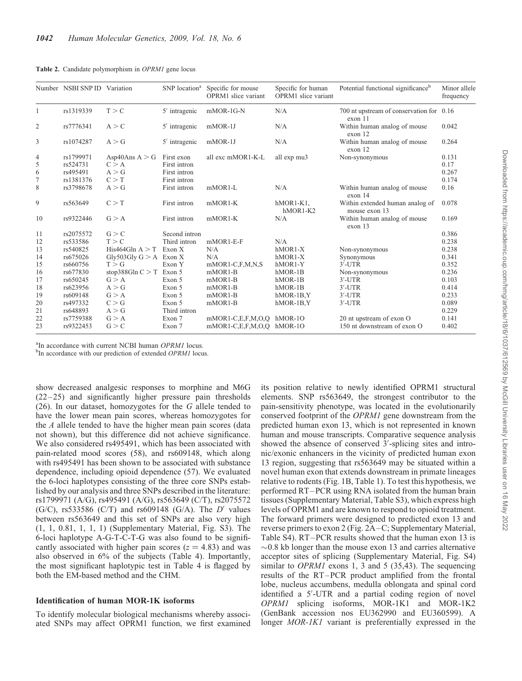|              | Number NSBI SNP ID Variation |                        | SNP location <sup>a</sup> | Specific for mouse<br><b>OPRM1</b> slice variant | Specific for human<br><b>OPRM1</b> slice variant | Potential functional significance <sup>b</sup>      | Minor allele<br>frequency |
|--------------|------------------------------|------------------------|---------------------------|--------------------------------------------------|--------------------------------------------------|-----------------------------------------------------|---------------------------|
| $\mathbf{1}$ | rs1319339                    | T > C                  | $5'$ intragenic           | mMOR-1G-N                                        | N/A                                              | 700 nt upstream of conservation for 0.16<br>exon 11 |                           |
| 2            | rs7776341                    | A > C                  | $5'$ intragenic           | mMOR-1J                                          | N/A                                              | Within human analog of mouse<br>exon 12             | 0.042                     |
| 3            | rs1074287                    | A > G                  | $5'$ intragenic           | mMOR-1J                                          | N/A                                              | Within human analog of mouse<br>exon 12             | 0.264                     |
| 4            | rs1799971                    | Asp40Ans $A > G$       | First exon                | all exc mMOR1-K-L                                | all exp mu3                                      | Non-synonymous                                      | 0.131                     |
| 5            | rs524731                     | C > A                  | First intron              |                                                  |                                                  |                                                     | 0.17                      |
| 6            | rs495491                     | A > G                  | First intron              |                                                  |                                                  |                                                     | 0.267                     |
| 7            | rs1381376                    | C > T                  | First intron              |                                                  |                                                  |                                                     | 0.174                     |
| 8            | rs3798678                    | A > G                  | First intron              | $mMOR1-L$                                        | N/A                                              | Within human analog of mouse<br>exon 14             | 0.16                      |
| 9            | rs563649                     | C > T                  | First intron              | $mMOR1-K$                                        | hMOR1-K1,<br>$hMOR1-K2$                          | Within extended human analog of<br>mouse exon 13    | 0.078                     |
| 10           | rs9322446                    | G > A                  | First intron              | $mMOR1-K$                                        | N/A                                              | Within human analog of mouse<br>exon 13             | 0.169                     |
| 11           | rs2075572                    | G > C                  | Second intron             |                                                  |                                                  |                                                     | 0.386                     |
| 12           | rs533586                     | T > C                  | Third intron              | $mMOR1-E-F$                                      | N/A                                              |                                                     | 0.238                     |
| 13           | rs540825                     | His464Gln $A > T$      | Exon X                    | N/A                                              | $hMOR1-X$                                        | Non-synonymous                                      | 0.238                     |
| 14           | rs675026                     | Gly503Gly $G > A$      | Exon X                    | N/A                                              | hMOR1-X                                          | Synonymous                                          | 0.341                     |
| 15           | rs660756                     | T > G                  | Exon Y                    | $mMOR1-C,F,M,N,S$                                | hMOR1-Y                                          | $3'$ -UTR                                           | 0.352                     |
| 16           | rs677830                     | stop $388$ Gln C $>$ T | Exon 5                    | $mMOR1-B$                                        | $hMOR-1B$                                        | Non-synonymous                                      | 0.236                     |
| 17           | rs650245                     | G > A                  | Exon 5                    | $mMOR1-B$                                        | $hMOR-1B$                                        | $3'$ -UTR                                           | 0.103                     |
| 18           | rs623956                     | A > G                  | Exon 5                    | $mMOR1-B$                                        | $hMOR-1B$                                        | $3'$ -UTR                                           | 0.414                     |
| 19           | rs609148                     | G > A                  | Exon 5                    | $mMOR1-B$                                        | $hMOR-1B, Y$                                     | $3'$ -UTR                                           | 0.233                     |
| 20           | rs497332                     | C > G                  | Exon 5                    | $mMOR1-B$                                        | $hMOR-1B, Y$                                     | $3'$ -UTR                                           | 0.089                     |
| 21           | rs648893                     | A > G                  | Third intron              |                                                  |                                                  |                                                     | 0.229                     |
| 22           | rs7759388                    | G > A                  | Exon 7                    | $mMOR1-C,E,F,M,O,O$                              | $hMOR-1O$                                        | 20 nt upstream of exon O                            | 0.141                     |
| 23           | rs9322453                    | G > C                  | Exon 7                    | mMOR1-C,E,F,M,O,O hMOR-1O                        |                                                  | 150 nt downstream of exon O                         | 0.402                     |

Table 2. Candidate polymorphism in OPRM1 gene locus

<sup>a</sup>In accordance with current NCBI human *OPRM1* locus.

<sup>b</sup>In accordance with our prediction of extended OPRM1 locus.

show decreased analgesic responses to morphine and M6G (22–25) and significantly higher pressure pain thresholds (26). In our dataset, homozygotes for the G allele tended to have the lower mean pain scores, whereas homozygotes for the A allele tended to have the higher mean pain scores (data not shown), but this difference did not achieve significance. We also considered rs495491, which has been associated with pain-related mood scores (58), and rs609148, which along with rs495491 has been shown to be associated with substance dependence, including opioid dependence (57). We evaluated the 6-loci haplotypes consisting of the three core SNPs established by our analysis and three SNPs described in the literature: rs1799971 (A/G), rs495491 (A/G), rs563649 (C/T), rs2075572 (G/C), rs533586 (C/T) and rs609148 (G/A). The  $D'$  values between rs563649 and this set of SNPs are also very high (1, 1, 0.81, 1, 1, 1) (Supplementary Material, Fig. S3). The 6-loci haplotype A-G-T-C-T-G was also found to be significantly associated with higher pain scores ( $z = 4.83$ ) and was also observed in 6% of the subjects (Table 4). Importantly, the most significant haplotypic test in Table 4 is flagged by both the EM-based method and the CHM.

#### Identification of human MOR-1K isoforms

To identify molecular biological mechanisms whereby associated SNPs may affect OPRM1 function, we first examined

its position relative to newly identified OPRM1 structural elements. SNP rs563649, the strongest contributor to the pain-sensitivity phenotype, was located in the evolutionarily conserved footprint of the OPRM1 gene downstream from the predicted human exon 13, which is not represented in known human and mouse transcripts. Comparative sequence analysis showed the absence of conserved  $3'$ -splicing sites and intronic/exonic enhancers in the vicinity of predicted human exon 13 region, suggesting that rs563649 may be situated within a novel human exon that extends downstream in primate lineages relative to rodents (Fig. 1B, Table 1). To test this hypothesis, we performed RT–PCR using RNA isolated from the human brain tissues (Supplementary Material, Table S3), which express high levels of OPRM1 and are known to respond to opioid treatment. The forward primers were designed to predicted exon 13 and reverse primers to exon 2 (Fig. 2A–C; Supplementary Material, Table S4). RT–PCR results showed that the human exon 13 is  $\sim$ 0.8 kb longer than the mouse exon 13 and carries alternative acceptor sites of splicing (Supplementary Material, Fig. S4) similar to *OPRM1* exons 1, 3 and 5 (35,43). The sequencing results of the RT–PCR product amplified from the frontal lobe, nucleus accumbens, medulla oblongata and spinal cord identified a 5'-UTR and a partial coding region of novel OPRM1 splicing isoforms, MOR-1K1 and MOR-1K2 (GenBank accession nos EU362990 and EU360599). A longer *MOR-1K1* variant is preferentially expressed in the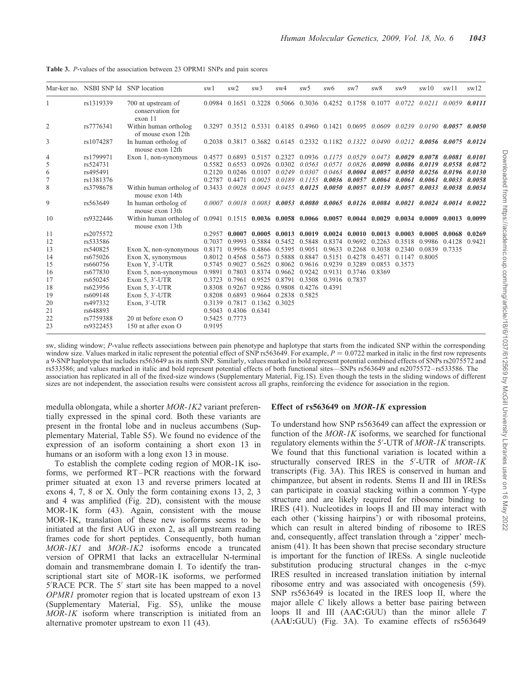|    | Mar-ker no. NSBI SNP Id SNP location |                                                                                                                                 | sw1           | sw2                                                                              | sw3                                                                                       | sw4                                                            | sw5               | sw <sub>6</sub>             | sw7                  | sw <sub>8</sub>                    | sw9           | sw10          | sw11                                                                                                        | sw12   |
|----|--------------------------------------|---------------------------------------------------------------------------------------------------------------------------------|---------------|----------------------------------------------------------------------------------|-------------------------------------------------------------------------------------------|----------------------------------------------------------------|-------------------|-----------------------------|----------------------|------------------------------------|---------------|---------------|-------------------------------------------------------------------------------------------------------------|--------|
|    | rs1319339                            | 700 nt upstream of<br>conservation for<br>exon <sub>11</sub>                                                                    |               | $0.0984$ $0.1651$ $0.3228$ $0.5066$ $0.3036$ $0.4252$ $0.1758$ $0.1077$ $0.0722$ |                                                                                           |                                                                |                   |                             |                      |                                    |               | 0.0211        | 0.0059                                                                                                      | 0.0111 |
| 2  | rs7776341                            | Within human ortholog<br>of mouse exon 12th                                                                                     |               |                                                                                  |                                                                                           |                                                                |                   |                             |                      |                                    |               |               | $0.3297$ $0.3512$ $0.5331$ $0.4185$ $0.4960$ $0.1421$ $0.0695$ $0.0609$ $0.0239$ $0.0190$ $0.0057$ $0.0050$ |        |
| 3  | rs1074287                            | In human ortholog of<br>mouse exon 12th                                                                                         |               |                                                                                  |                                                                                           |                                                                |                   |                             |                      |                                    |               |               | 0.2038 0.3817 0.3682 0.6145 0.2332 0.1182 0.1322 0.0490 0.0212 0.0056 0.0075 0.0124                         |        |
| 4  | rs1799971                            | Exon 1, non-synonymous                                                                                                          | 0.4577        |                                                                                  | 0.6893 0.5157 0.2327                                                                      |                                                                |                   | $0.0936$ $0.1175$ $0.0529$  |                      | 0.0473                             | 0.0029        | 0.0078        | 0.0081                                                                                                      | 0.0101 |
| 5  | rs524731                             |                                                                                                                                 | 0.5582        | 0.6553                                                                           | 0.0926                                                                                    | 0.0302                                                         | 0.0563            | 0.0571                      | 0.0826               | 0.0090                             | 0.0086        | 0.0119        | 0.0558                                                                                                      | 0.0872 |
| 6  | rs495491                             |                                                                                                                                 | 0.2120        | 0.0246                                                                           | 0.0107                                                                                    | 0.0249                                                         | $0.0307$ $0.0463$ |                             | 0.0004               |                                    | 0.0057 0.0050 | 0.0256 0.0196 |                                                                                                             | 0.0130 |
|    | rs1381376                            |                                                                                                                                 | 0.2787        | 0.4471                                                                           | 0.0025                                                                                    | 0.0189                                                         |                   |                             |                      | 0.1155 0.0036 0.0057 0.0064        | 0.0061        | 0.0061        | 0.0033                                                                                                      | 0.0058 |
| 8  | rs3798678                            | Within human ortholog of<br>mouse exon 14th                                                                                     | 0.3433        |                                                                                  | $0.0028$ $0.0045$ $0.0455$ $0.0125$ $0.0050$ $0.0057$ $0.0139$ $0.0057$ $0.0033$ $0.0038$ |                                                                |                   |                             |                      |                                    |               |               |                                                                                                             | 0.0034 |
| 9  | rs563649                             | In human ortholog of<br>mouse exon 13th                                                                                         |               |                                                                                  |                                                                                           |                                                                |                   |                             |                      |                                    |               |               | $0.0007$ $0.0018$ $0.0083$ $0.0053$ $0.0080$ $0.0065$ $0.0126$ $0.0084$ $0.0021$ $0.0024$ $0.0014$ $0.0022$ |        |
| 10 | rs9322446                            | Within human ortholog of 0.0941 0.1515 0.0036 0.0058 0.0066 0.0057 0.0044 0.0029 0.0034 0.0009 0.0013 0.0099<br>mouse exon 13th |               |                                                                                  |                                                                                           |                                                                |                   |                             |                      |                                    |               |               |                                                                                                             |        |
| 11 | rs2075572                            |                                                                                                                                 |               | 0.2957 0.0007                                                                    |                                                                                           | $0.0005$ $0.0013$ $0.0019$ $0.0024$ $0.0010$ $0.0013$ $0.0003$ |                   |                             |                      |                                    |               | 0.0005 0.0068 |                                                                                                             | 0.0269 |
| 12 | rs533586                             |                                                                                                                                 | 0.7037        | 0.9993                                                                           |                                                                                           | 0.5884 0.5452                                                  | 0.5848            | 0.8374 0.9692 0.2263        |                      |                                    | 0.3518        | 0.9986        | 0.4128                                                                                                      | 0.9421 |
| 13 | rs540825                             | Exon X, non-synonymous                                                                                                          | 0.8171        | 0.9956                                                                           | 0.4866                                                                                    | 0.5395                                                         | 0.9051            |                             |                      | 0.9633 0.2268 0.3038 0.2340        |               | 0.0839 0.7335 |                                                                                                             |        |
| 14 | rs675026                             | Exon X, synonymous                                                                                                              | 0.8012        | 0.4568                                                                           | 0.5673                                                                                    | 0.5888                                                         | 0.8847            |                             | 0.5151 0.4278 0.4571 |                                    | 0.1147 0.8005 |               |                                                                                                             |        |
| 15 | rs660756                             | Exon Y, 3'-UTR                                                                                                                  | 0.5745        | 0.9027                                                                           | 0.5625                                                                                    | 0.8062                                                         |                   |                             |                      | 0.9616 0.9239 0.3289 0.0853 0.3573 |               |               |                                                                                                             |        |
| 16 | rs677830                             | Exon 5, non-synonymous                                                                                                          | 0.9891        | 0.7803                                                                           | 0.8374                                                                                    | 0.9662                                                         |                   | 0.9242 0.9131 0.3746 0.8369 |                      |                                    |               |               |                                                                                                             |        |
| 17 | rs650245                             | Exon $5, 3'$ -UTR                                                                                                               | 0.3723        | 0.7961                                                                           | 0.9525                                                                                    | 0.8791                                                         |                   | 0.3508 0.3916 0.7837        |                      |                                    |               |               |                                                                                                             |        |
| 18 | rs623956                             | Exon $5, 3'$ -UTR                                                                                                               | 0.8308        | 0.9267                                                                           |                                                                                           | 0.9286 0.9808                                                  | 0.4276 0.4391     |                             |                      |                                    |               |               |                                                                                                             |        |
| 19 | rs609148                             | Exon $5, 3'$ -UTR                                                                                                               | 0.8208        | 0.6893                                                                           |                                                                                           | 0.9664 0.2838                                                  | 0.5825            |                             |                      |                                    |               |               |                                                                                                             |        |
| 20 | rs497332                             | Exon, $3'$ -UTR                                                                                                                 | 0.3139        | 0.7817                                                                           | 0.1362                                                                                    | 0.3025                                                         |                   |                             |                      |                                    |               |               |                                                                                                             |        |
| 21 | rs648893                             |                                                                                                                                 | 0.5043        | 0.4306 0.6341                                                                    |                                                                                           |                                                                |                   |                             |                      |                                    |               |               |                                                                                                             |        |
| 22 | rs7759388                            | 20 nt before exon O                                                                                                             | 0.5425 0.7773 |                                                                                  |                                                                                           |                                                                |                   |                             |                      |                                    |               |               |                                                                                                             |        |
| 23 | rs9322453                            | 150 nt after exon O                                                                                                             | 0.9195        |                                                                                  |                                                                                           |                                                                |                   |                             |                      |                                    |               |               |                                                                                                             |        |

Table 3. P-values of the association between 23 OPRM1 SNPs and pain scores

sw, sliding window; P-value reflects associations between pain phenotype and haplotype that starts from the indicated SNP within the corresponding window size. Values marked in italic represent the potential effect of SNP rs563649. For example,  $P = 0.0722$  marked in italic in the first row represents a 9-SNP haplotype that includes rs563649 as its ninth SNP. Similarly, values marked in bold represent potential combined effects of SNPs rs2075572 and rs533586; and values marked in italic and bold represent potential effects of both functional sites—SNPs rs563649 and rs2075572–rs533586. The association has replicated in all of the fixed-size windows (Supplementary Material, Fig.1S). Even though the tests in the sliding windows of different sizes are not independent, the association results were consistent across all graphs, reinforcing the evidence for association in the region.

medulla oblongata, while a shorter MOR-1K2 variant preferentially expressed in the spinal cord. Both these variants are present in the frontal lobe and in nucleus accumbens (Supplementary Material, Table S5). We found no evidence of the expression of an isoform containing a short exon 13 in humans or an isoform with a long exon 13 in mouse.

To establish the complete coding region of MOR-1K isoforms, we performed RT–PCR reactions with the forward primer situated at exon 13 and reverse primers located at exons 4, 7, 8 or X. Only the form containing exons 13, 2, 3 and 4 was amplified (Fig. 2D), consistent with the mouse MOR-1K form (43). Again, consistent with the mouse MOR-1K, translation of these new isoforms seems to be initiated at the first AUG in exon 2, as all upstream reading frames code for short peptides. Consequently, both human MOR-1K1 and MOR-1K2 isoforms encode a truncated version of OPRM1 that lacks an extracellular N-terminal domain and transmembrane domain I. To identify the transcriptional start site of MOR-1K isoforms, we performed 5'RACE PCR. The 5' start site has been mapped to a novel OPMR1 promoter region that is located upstream of exon 13 (Supplementary Material, Fig. S5), unlike the mouse MOR-1K isoform where transcription is initiated from an alternative promoter upstream to exon 11 (43).

#### Effect of rs563649 on MOR-1K expression

To understand how SNP rs563649 can affect the expression or function of the MOR-1K isoforms, we searched for functional regulatory elements within the 5'-UTR of MOR-1K transcripts. We found that this functional variation is located within a structurally conserved IRES in the 5'-UTR of MOR-1K transcripts (Fig. 3A). This IRES is conserved in human and chimpanzee, but absent in rodents. Stems II and III in IRESs can participate in coaxial stacking within a common Y-type structure and are likely required for ribosome binding to IRES (41). Nucleotides in loops II and III may interact with each other ('kissing hairpins') or with ribosomal proteins, which can result in altered binding of ribosome to IRES and, consequently, affect translation through a 'zipper' mechanism (41). It has been shown that precise secondary structure is important for the function of IRESs. A single nucleotide substitution producing structural changes in the c-myc IRES resulted in increased translation initiation by internal ribosome entry and was associated with oncogenesis (59). SNP rs563649 is located in the IRES loop II, where the major allele C likely allows a better base pairing between loops II and III (AAC:GUU) than the minor allele T (AAU:GUU) (Fig. 3A). To examine effects of rs563649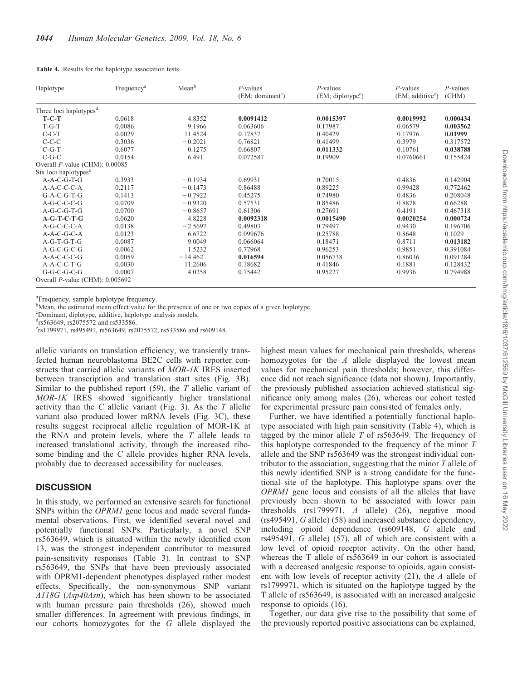| Table 4. Results for the haplotype association tests |  |
|------------------------------------------------------|--|
|------------------------------------------------------|--|

| Haplotype                          | Frequency <sup>a</sup> | Mean <sup>b</sup> | $P$ -values<br>(EM; dominant <sup>c</sup> ) | $P$ -values<br>(EM; diplotype <sup>c</sup> ) | $P$ -values<br>(EM; additive <sup>c</sup> ) | $P$ -values<br>(CHM) |
|------------------------------------|------------------------|-------------------|---------------------------------------------|----------------------------------------------|---------------------------------------------|----------------------|
| Three loci haplotypes <sup>d</sup> |                        |                   |                                             |                                              |                                             |                      |
| $T-C-T$                            | 0.0618                 | 4.8352            | 0.0091412                                   | 0.0015397                                    | 0.0019992                                   | 0.000434             |
| $T-G-T$                            | 0.0086                 | 9.1966            | 0.063606                                    | 0.17987                                      | 0.06579                                     | 0.003562             |
| $C-C-T$                            | 0.0029                 | 11.4524           | 0.17837                                     | 0.40429                                      | 0.17976                                     | 0.01999              |
| $C-C-C$                            | 0.3036                 | $-0.2021$         | 0.76821                                     | 0.41499                                      | 0.3979                                      | 0.317572             |
| $C-G-T$                            | 0.6077                 | 0.1275            | 0.66807                                     | 0.011332                                     | 0.10761                                     | 0.038788             |
| $C-G-C$                            | 0.0154                 | 6.491             | 0.072587                                    | 0.19909                                      | 0.0760661                                   | 0.155424             |
| Overall P-value (CHM): 0.00085     |                        |                   |                                             |                                              |                                             |                      |
| Six loci haplotypes <sup>e</sup>   |                        |                   |                                             |                                              |                                             |                      |
| $A-A-C-G-T-G$                      | 0.3933                 | $-0.1934$         | 0.69931                                     | 0.70015                                      | 0.4836                                      | 0.142904             |
| A-A-C-C-C-A                        | 0.2117                 | $-0.1473$         | 0.86488                                     | 0.89225                                      | 0.99428                                     | 0.772462             |
| $G-A-C-G-T-G$                      | 0.1413                 | $-0.7922$         | 0.45275                                     | 0.74980                                      | 0.4836                                      | 0.208048             |
| $A-G-C-C-G$                        | 0.0709                 | $-0.9320$         | 0.57531                                     | 0.85486                                      | 0.8878                                      | 0.66288              |
| $A-G-C-G-T-G$                      | 0.0700                 | $-0.8657$         | 0.61306                                     | 0.27691                                      | 0.4191                                      | 0.467318             |
| $A-G-T-C-T-G$                      | 0.0620                 | 4.8228            | 0.0092318                                   | 0.0015490                                    | 0.0020254                                   | 0.000724             |
| A-G-C-C-C-A                        | 0.0138                 | $-2.5697$         | 0.49803                                     | 0.79497                                      | 0.9430                                      | 0.196706             |
| $A-A-C-G-C-A$                      | 0.0123                 | 6.6722            | 0.099676                                    | 0.25788                                      | 0.8648                                      | 0.1029               |
| $A-G-T-G-T-G$                      | 0.0087                 | 9.0049            | 0.066064                                    | 0.18471                                      | 0.8711                                      | 0.013182             |
| $A-G-C-G-C-G$                      | 0.0062                 | 1.5232            | 0.77968                                     | 0.96253                                      | 0.9851                                      | 0.391084             |
| $A-A-C-C-C-G$                      | 0.0059                 | $-14.462$         | 0.016594                                    | 0.056738                                     | 0.86036                                     | 0.091284             |
| $A-A-C-C-T-G$                      | 0.0030                 | 11.2606           | 0.18682                                     | 0.41846                                      | 0.1881                                      | 0.128432             |
| $G-G-C-G-C-G$                      | 0.0007                 | 4.0258            | 0.75442                                     | 0.95227                                      | 0.9936                                      | 0.794988             |
| Overall P-value (CHM): 0.005692    |                        |                   |                                             |                                              |                                             |                      |

<sup>a</sup>Frequency, sample haplotype frequency.

<sup>b</sup>Mean, the estimated mean effect value for the presence of one or two copies of a given haplotype.

c Dominant, diplotype, additive, haplotype analysis models.

 $\frac{d_{rs563649}}{s^{4}rs^{563649}}$ , rs2075572 and rs533586.

e rs1799971, rs495491, rs563649, rs2075572, rs533586 and rs609148.

allelic variants on translation efficiency, we transiently transfected human neuroblastoma BE2C cells with reporter constructs that carried allelic variants of MOR-1K IRES inserted between transcription and translation start sites (Fig. 3B). Similar to the published report  $(59)$ , the T allelic variant of MOR-1K IRES showed significantly higher translational activity than the  $C$  allelic variant (Fig. 3). As the  $T$  allelic variant also produced lower mRNA levels (Fig. 3C), these results suggest reciprocal allelic regulation of MOR-1K at the RNA and protein levels, where the  $T$  allele leads to increased translational activity, through the increased ribosome binding and the C allele provides higher RNA levels, probably due to decreased accessibility for nucleases.

# **DISCUSSION**

In this study, we performed an extensive search for functional SNPs within the *OPRM1* gene locus and made several fundamental observations. First, we identified several novel and potentially functional SNPs. Particularly, a novel SNP rs563649, which is situated within the newly identified exon 13, was the strongest independent contributor to measured pain-sensitivity responses (Table 3). In contrast to SNP rs563649, the SNPs that have been previously associated with OPRM1-dependent phenotypes displayed rather modest effects. Specifically, the non-synonymous SNP variant A118G (Asp40Asn), which has been shown to be associated with human pressure pain thresholds (26), showed much smaller differences. In agreement with previous findings, in our cohorts homozygotes for the G allele displayed the highest mean values for mechanical pain thresholds, whereas homozygotes for the A allele displayed the lowest mean values for mechanical pain thresholds; however, this difference did not reach significance (data not shown). Importantly, the previously published association achieved statistical significance only among males (26), whereas our cohort tested for experimental pressure pain consisted of females only.

Further, we have identified a potentially functional haplotype associated with high pain sensitivity (Table 4), which is tagged by the minor allele  $T$  of rs563649. The frequency of this haplotype corresponded to the frequency of the minor  $T$ allele and the SNP rs563649 was the strongest individual contributor to the association, suggesting that the minor  $T$  allele of this newly identified SNP is a strong candidate for the functional site of the haplotype. This haplotype spans over the OPRM1 gene locus and consists of all the alleles that have previously been shown to be associated with lower pain thresholds (rs1799971, A allele) (26), negative mood (rs495491, G allele) (58) and increased substance dependency, including opioid dependence (rs609148, G allele and rs495491, G allele) (57), all of which are consistent with a low level of opioid receptor activity. On the other hand, whereas the T allele of rs563649 in our cohort is associated with a decreased analgesic response to opioids, again consistent with low levels of receptor activity (21), the A allele of rs1799971, which is situated on the haplotype tagged by the T allele of rs563649, is associated with an increased analgesic response to opioids (16).

Together, our data give rise to the possibility that some of the previously reported positive associations can be explained,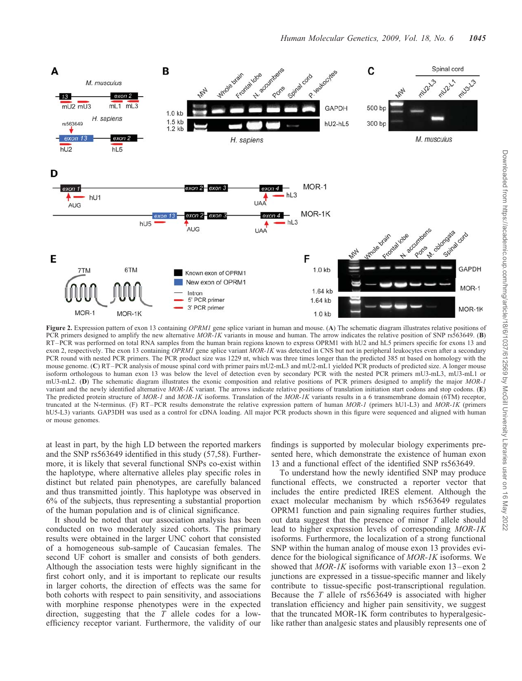

Figure 2. Expression pattern of exon 13 containing OPRM1 gene splice variant in human and mouse. (A) The schematic diagram illustrates relative positions of PCR primers designed to amplify the new alternative MOR-IK variants in mouse and human. The arrow indicates the relative position of SNP rs563649. (B) RT–PCR was performed on total RNA samples from the human brain regions known to express OPRM1 with hU2 and hL5 primers specific for exons 13 and exon 2, respectively. The exon 13 containing OPRM1 gene splice variant MOR-1K was detected in CNS but not in peripheral leukocytes even after a secondary PCR round with nested PCR primers. The PCR product size was 1229 nt, which was three times longer than the predicted 385 nt based on homology with the mouse genome. (C) RT–PCR analysis of mouse spinal cord with primer pairs mU2-mL3 and mU2-mL1 yielded PCR products of predicted size. A longer mouse isoform orthologous to human exon 13 was below the level of detection even by secondary PCR with the nested PCR primers mU3-mL3, mU3-mL1 or mU3-mL2. (D) The schematic diagram illustrates the exonic composition and relative positions of PCR primers designed to amplify the major MOR-1 variant and the newly identified alternative  $MOR-IK$  variant. The arrows indicate relative positions of translation initiation start codons and stop codons. (E) The predicted protein structure of MOR-1 and MOR-1K isoforms. Translation of the MOR-1K variants results in a 6 transmembrane domain (6TM) receptor, truncated at the N-terminus. (F) RT–PCR results demonstrate the relative expression pattern of human MOR-1 (primers hU1-L3) and MOR-1K (primers hU5-L3) variants. GAP3DH was used as a control for cDNA loading. All major PCR products shown in this figure were sequenced and aligned with human or mouse genomes.

at least in part, by the high LD between the reported markers and the SNP rs563649 identified in this study (57,58). Furthermore, it is likely that several functional SNPs co-exist within the haplotype, where alternative alleles play specific roles in distinct but related pain phenotypes, are carefully balanced and thus transmitted jointly. This haplotype was observed in 6% of the subjects, thus representing a substantial proportion of the human population and is of clinical significance.

It should be noted that our association analysis has been conducted on two moderately sized cohorts. The primary results were obtained in the larger UNC cohort that consisted of a homogeneous sub-sample of Caucasian females. The second UF cohort is smaller and consists of both genders. Although the association tests were highly significant in the first cohort only, and it is important to replicate our results in larger cohorts, the direction of effects was the same for both cohorts with respect to pain sensitivity, and associations with morphine response phenotypes were in the expected direction, suggesting that the  $T$  allele codes for a lowefficiency receptor variant. Furthermore, the validity of our

findings is supported by molecular biology experiments presented here, which demonstrate the existence of human exon 13 and a functional effect of the identified SNP rs563649.

To understand how the newly identified SNP may produce functional effects, we constructed a reporter vector that includes the entire predicted IRES element. Although the exact molecular mechanism by which rs563649 regulates OPRM1 function and pain signaling requires further studies, out data suggest that the presence of minor T allele should lead to higher expression levels of corresponding MOR-1K isoforms. Furthermore, the localization of a strong functional SNP within the human analog of mouse exon 13 provides evidence for the biological significance of MOR-1K isoforms. We showed that  $MOR-1K$  isoforms with variable exon  $13$ –exon 2 junctions are expressed in a tissue-specific manner and likely contribute to tissue-specific post-transcriptional regulation. Because the T allele of rs563649 is associated with higher translation efficiency and higher pain sensitivity, we suggest that the truncated MOR-1K form contributes to hyperalgesiclike rather than analgesic states and plausibly represents one of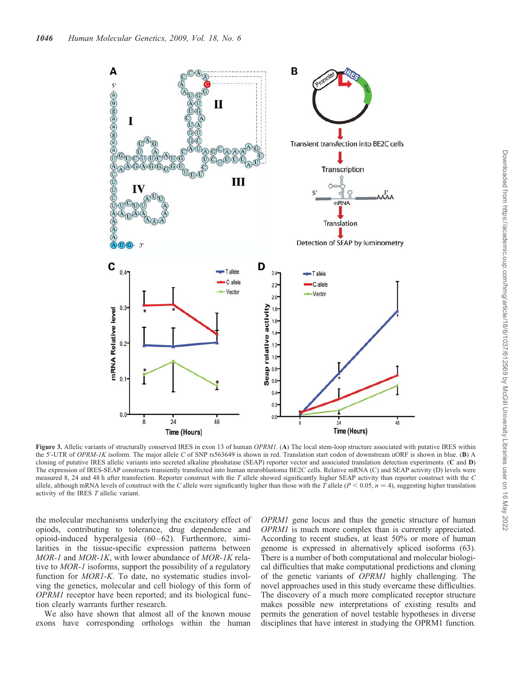

Figure 3. Allelic variants of structurally conserved IRES in exon 13 of human OPRM1. (A) The local stem-loop structure associated with putative IRES within the 5'-UTR of OPRM-1K isoform. The major allele C of SNP rs563649 is shown in red. Translation start codon of downstream uORF is shown in blue. (B) A cloning of putative IRES allelic variants into secreted alkaline phoshatase (SEAP) reporter vector and associated translation detection experiments. (C and D) The expression of IRES-SEAP constructs transiently transfected into human neuroblastoma BE2C cells. Relative mRNA (C) and SEAP activity (D) levels were measured 8, 24 and 48 h after transfection. Reporter construct with the T allele showed significantly higher SEAP activity than reporter construct with the C allele, although mRNA levels of construct with the C allele were significantly higher than those with the T allele ( $P < 0.05$ ,  $n = 4$ ), suggesting higher translation activity of the IRES T allelic variant.

the molecular mechanisms underlying the excitatory effect of opiods, contributing to tolerance, drug dependence and opioid-induced hyperalgesia (60–62). Furthermore, similarities in the tissue-specific expression patterns between MOR-1 and MOR-1K, with lower abundance of MOR-1K relative to MOR-1 isoforms, support the possibility of a regulatory function for MOR1-K. To date, no systematic studies involving the genetics, molecular and cell biology of this form of OPRM1 receptor have been reported; and its biological function clearly warrants further research.

We also have shown that almost all of the known mouse exons have corresponding orthologs within the human OPRM1 gene locus and thus the genetic structure of human OPRM1 is much more complex than is currently appreciated. According to recent studies, at least 50% or more of human genome is expressed in alternatively spliced isoforms (63). There is a number of both computational and molecular biological difficulties that make computational predictions and cloning of the genetic variants of OPRM1 highly challenging. The novel approaches used in this study overcame these difficulties. The discovery of a much more complicated receptor structure makes possible new interpretations of existing results and permits the generation of novel testable hypotheses in diverse disciplines that have interest in studying the OPRM1 function.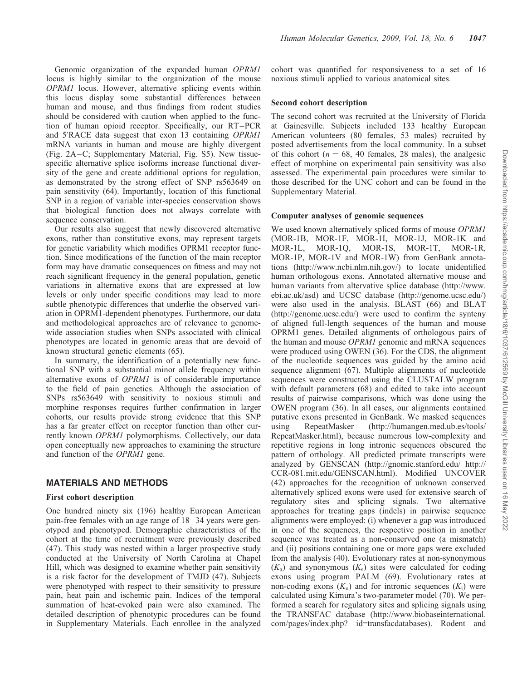Genomic organization of the expanded human OPRM1 locus is highly similar to the organization of the mouse OPRM1 locus. However, alternative splicing events within this locus display some substantial differences between human and mouse, and thus findings from rodent studies should be considered with caution when applied to the function of human opioid receptor. Specifically, our RT–PCR and 5'RACE data suggest that exon 13 containing OPRM1 mRNA variants in human and mouse are highly divergent (Fig. 2A–C; Supplementary Material, Fig. S5). New tissuespecific alternative splice isoforms increase functional diversity of the gene and create additional options for regulation, as demonstrated by the strong effect of SNP rs563649 on pain sensitivity (64). Importantly, location of this functional SNP in a region of variable inter-species conservation shows that biological function does not always correlate with sequence conservation.

Our results also suggest that newly discovered alternative exons, rather than constitutive exons, may represent targets for genetic variability which modifies OPRM1 receptor function. Since modifications of the function of the main receptor form may have dramatic consequences on fitness and may not reach significant frequency in the general population, genetic variations in alternative exons that are expressed at low levels or only under specific conditions may lead to more subtle phenotypic differences that underlie the observed variation in OPRM1-dependent phenotypes. Furthermore, our data and methodological approaches are of relevance to genomewide association studies when SNPs associated with clinical phenotypes are located in genomic areas that are devoid of known structural genetic elements (65).

In summary, the identification of a potentially new functional SNP with a substantial minor allele frequency within alternative exons of OPRM1 is of considerable importance to the field of pain genetics. Although the association of SNPs rs563649 with sensitivity to noxious stimuli and morphine responses requires further confirmation in larger cohorts, our results provide strong evidence that this SNP has a far greater effect on receptor function than other currently known OPRM1 polymorphisms. Collectively, our data open conceptually new approaches to examining the structure and function of the OPRM1 gene.

## MATERIALS AND METHODS

#### First cohort description

One hundred ninety six (196) healthy European American pain-free females with an age range of 18–34 years were genotyped and phenotyped. Demographic characteristics of the cohort at the time of recruitment were previously described (47). This study was nested within a larger prospective study conducted at the University of North Carolina at Chapel Hill, which was designed to examine whether pain sensitivity is a risk factor for the development of TMJD (47). Subjects were phenotyped with respect to their sensitivity to pressure pain, heat pain and ischemic pain. Indices of the temporal summation of heat-evoked pain were also examined. The detailed description of phenotypic procedures can be found in Supplementary Materials. Each enrollee in the analyzed cohort was quantified for responsiveness to a set of 16 noxious stimuli applied to various anatomical sites.

#### Second cohort description

The second cohort was recruited at the University of Florida at Gainesville. Subjects included 133 healthy European American volunteers (80 females, 53 males) recruited by posted advertisements from the local community. In a subset of this cohort ( $n = 68$ , 40 females, 28 males), the analgesic effect of morphine on experimental pain sensitivity was also assessed. The experimental pain procedures were similar to those described for the UNC cohort and can be found in the Supplementary Material.

#### Computer analyses of genomic sequences

We used known alternatively spliced forms of mouse OPRM1 (MOR-1B, MOR-1F, MOR-1I, MOR-1J, MOR-1K and MOR-1L, MOR-1Q, MOR-1S, MOR-1T, MOR-1R, MOR-1P, MOR-1V and MOR-1W) from GenBank annotations (http://www.ncbi.nlm.nih.gov/) to locate unidentified human orthologous exons. Annotated alternative mouse and human variants from altervative splice database (http://www. ebi.ac.uk/asd) and UCSC database (http://genome.ucsc.edu/) were also used in the analysis. BLAST (66) and BLAT (http://genome.ucsc.edu/) were used to confirm the synteny of aligned full-length sequences of the human and mouse OPRM1 genes. Detailed alignments of orthologous pairs of the human and mouse OPRM1 genomic and mRNA sequences were produced using OWEN (36). For the CDS, the alignment of the nucleotide sequences was guided by the amino acid sequence alignment (67). Multiple alignments of nucleotide sequences were constructed using the CLUSTALW program with default parameters (68) and edited to take into account results of pairwise comparisons, which was done using the OWEN program (36). In all cases, our alignments contained putative exons presented in GenBank. We masked sequences using RepeatMasker (http://humangen.med.ub.es/tools/ RepeatMasker.html), because numerous low-complexity and repetitive regions in long intronic sequences obscured the pattern of orthology. All predicted primate transcripts were analyzed by GENSCAN (http://gnomic.stanford.edu/ http:// CCR-081.mit.edu/GENSCAN.html). Modified UNCOVER (42) approaches for the recognition of unknown conserved alternatively spliced exons were used for extensive search of regulatory sites and splicing signals. Two alternative approaches for treating gaps (indels) in pairwise sequence alignments were employed: (i) whenever a gap was introduced in one of the sequences, the respective position in another sequence was treated as a non-conserved one (a mismatch) and (ii) positions containing one or more gaps were excluded from the analysis (40). Evolutionary rates at non-synonymous  $(K<sub>s</sub>)$  and synonymous  $(K<sub>s</sub>)$  sites were calculated for coding exons using program PALM (69). Evolutionary rates at non-coding exons  $(K_u)$  and for intronic sequences  $(K_i)$  were calculated using Kimura's two-parameter model (70). We performed a search for regulatory sites and splicing signals using the TRANSFAC database (http://www.biobaseinternational. com/pages/index.php? id=transfacdatabases). Rodent and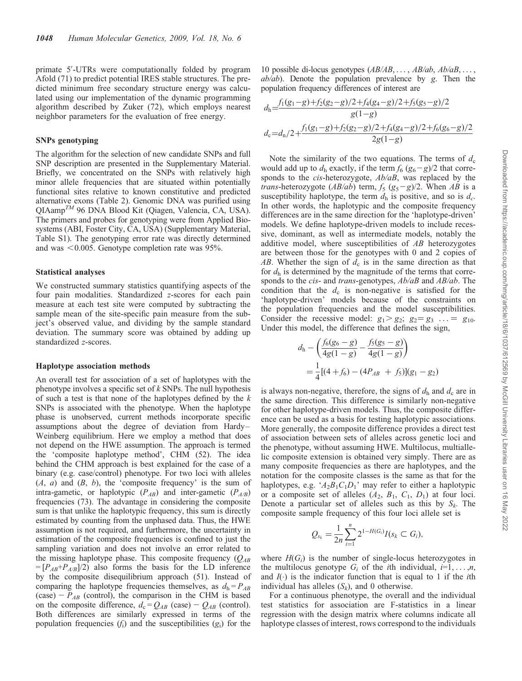primate 5'-UTRs were computationally folded by program Afold (71) to predict potential IRES stable structures. The predicted minimum free secondary structure energy was calculated using our implementation of the dynamic programming algorithm described by Zuker (72), which employs nearest neighbor parameters for the evaluation of free energy.

#### SNPs genotyping

The algorithm for the selection of new candidate SNPs and full SNP description are presented in the Supplementary Material. Briefly, we concentrated on the SNPs with relatively high minor allele frequencies that are situated within potentially functional sites relative to known constitutive and predicted alternative exons (Table 2). Genomic DNA was purified using  $QIAamp^{TM}$  96 DNA Blood Kit (Qiagen, Valencia, CA, USA). The primers and probes for genotyping were from Applied Biosystems (ABI, Foster City, CA, USA) (Supplementary Material, Table S1). The genotyping error rate was directly determined and was  $<0.005$ . Genotype completion rate was 95%.

#### Statistical analyses

We constructed summary statistics quantifying aspects of the four pain modalities. Standardized z-scores for each pain measure at each test site were computed by subtracting the sample mean of the site-specific pain measure from the subject's observed value, and dividing by the sample standard deviation. The summary score was obtained by adding up standardized z-scores.

#### Haplotype association methods

An overall test for association of a set of haplotypes with the phenotype involves a specific set of  $k$  SNPs. The null hypothesis of such a test is that none of the haplotypes defined by the  $k$ SNPs is associated with the phenotype. When the haplotype phase is unobserved, current methods incorporate specific assumptions about the degree of deviation from Hardy– Weinberg equilibrium. Here we employ a method that does not depend on the HWE assumption. The approach is termed the 'composite haplotype method', CHM (52). The idea behind the CHM approach is best explained for the case of a binary (e.g. case/control) phenotype. For two loci with alleles  $(A, a)$  and  $(B, b)$ , the 'composite frequency' is the sum of intra-gametic, or haplotypic  $(P_{AB})$  and inter-gametic  $(P_{A/B})$ frequencies (73). The advantage in considering the composite sum is that unlike the haplotypic frequency, this sum is directly estimated by counting from the unphased data. Thus, the HWE assumption is not required, and furthermore, the uncertainty in estimation of the composite frequencies is confined to just the sampling variation and does not involve an error related to the missing haplotype phase. This composite frequency  $(O_{AB})$  $=[P_{AB}+P_{A/B}]/2$  also forms the basis for the LD inference by the composite disequilibrium approach (51). Instead of comparing the haplotype frequencies themselves, as  $d_h = P_{AB}$ (case) –  $P_{AB}$  (control), the comparison in the CHM is based on the composite difference,  $d_c = Q_{AB}$  (case) –  $Q_{AB}$  (control). Both differences are similarly expressed in terms of the population frequencies  $(f_i)$  and the susceptibilities  $(g_i)$  for the

10 possible di-locus genotypes  $(AB/AB, \ldots, AB/ab, Ab/AB, \ldots,$  $ab/ab$ ). Denote the population prevalence by g. Then the population frequency differences of interest are

$$
d_{\rm h} = \frac{f_1(g_1-g) + f_2(g_2-g)/2 + f_4(g_4-g)/2 + f_5(g_5-g)/2}{g(1-g)}
$$
  

$$
d_{\rm c} = d_{\rm n}/2 + \frac{f_1(g_1-g) + f_2(g_2-g)/2 + f_4(g_4-g)/2 + f_6(g_6-g)/2}{2g(1-g)}
$$

Note the similarity of the two equations. The terms of  $d_c$ would add up to  $d_h$  exactly, if the term  $f_6 (g_6-g)/2$  that corresponds to the *cis*-heterozygote,  $Ab/aB$ , was replaced by the *trans*-heterozygote (*AB/ab*) term,  $f_5$  ( $g_5 - g$ )/2. When *AB* is a susceptibility haplotype, the term  $d<sub>h</sub>$  is positive, and so is  $d<sub>c</sub>$ . In other words, the haplotypic and the composite frequency differences are in the same direction for the 'haplotype-driven' models. We define haplotype-driven models to include recessive, dominant, as well as intermediate models, notably the additive model, where susceptibilities of AB heterozygotes are between those for the genotypes with 0 and 2 copies of AB. Whether the sign of  $d_c$  is in the same direction as that for  $d<sub>h</sub>$  is determined by the magnitude of the terms that corresponds to the *cis*- and *trans*-genotypes,  $Ab/aB$  and  $AB/ab$ . The condition that the  $d_c$  is non-negative is satisfied for the 'haplotype-driven' models because of the constraints on the population frequencies and the model susceptibilities. Consider the recessive model:  $g_1 > g_2$ ;  $g_2 = g_3$  ... =  $g_{10}$ . Under this model, the difference that defines the sign,

$$
d_{\rm h} - \left(\frac{f_6(g_6 - g)}{4g(1 - g)} - \frac{f_5(g_5 - g)}{4g(1 - g)}\right)
$$
  
=  $\frac{1}{4}[(4 + f_6) - (4P_{AB} + f_5)](g_1 - g_2)$ 

is always non-negative, therefore, the signs of  $d_h$  and  $d_c$  are in the same direction. This difference is similarly non-negative for other haplotype-driven models. Thus, the composite difference can be used as a basis for testing haplotypic associations. More generally, the composite difference provides a direct test of association between sets of alleles across genetic loci and the phenotype, without assuming HWE. Multilocus, multiallelic composite extension is obtained very simply. There are as many composite frequencies as there are haplotypes, and the notation for the composite classes is the same as that for the haplotypes, e.g. ' $A_2B_1C_1D_1$ ' may refer to either a haplotypic or a composite set of alleles  $(A_2, B_1, C_1, D_1)$  at four loci. Denote a particular set of alleles such as this by  $S_k$ . The composite sample frequency of this four loci allele set is

$$
Q_{s_k} = \frac{1}{2n} \sum_{i=1}^n 2^{1-H(G_i)} I(s_k \subset G_i),
$$

where  $H(G_i)$  is the number of single-locus heterozygotes in the multilocus genotype  $G_i$  of the *i*th individual,  $i=1,\ldots,n$ , and  $I(\cdot)$  is the indicator function that is equal to 1 if the *i*th individual has alleles  $(S_k)$ , and 0 otherwise.

For a continuous phenotype, the overall and the individual test statistics for association are F-statistics in a linear regression with the design matrix where columns indicate all haplotype classes of interest, rows correspond to the individuals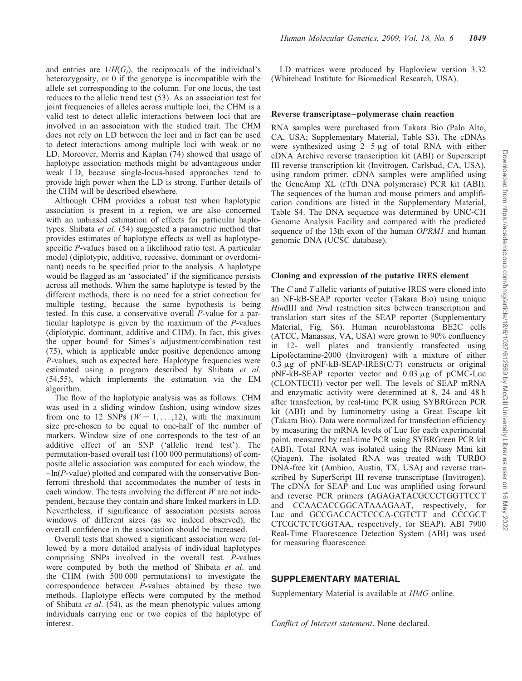and entries are  $1/H(G_i)$ , the reciprocals of the individual's heterozygosity, or 0 if the genotype is incompatible with the allele set corresponding to the column. For one locus, the test reduces to the allelic trend test (53). As an association test for joint frequencies of alleles across multiple loci, the CHM is a valid test to detect allelic interactions between loci that are involved in an association with the studied trait. The CHM does not rely on LD between the loci and in fact can be used to detect interactions among multiple loci with weak or no LD. Moreover, Morris and Kaplan (74) showed that usage of haplotype association methods might be advantageous under weak LD, because single-locus-based approaches tend to provide high power when the LD is strong. Further details of the CHM will be described elsewhere.

Although CHM provides a robust test when haplotypic association is present in a region, we are also concerned with an unbiased estimation of effects for particular haplotypes. Shibata et al. (54) suggested a parametric method that provides estimates of haplotype effects as well as haplotypespecific P-values based on a likelihood ratio test. A particular model (diplotypic, additive, recessive, dominant or overdominant) needs to be specified prior to the analysis. A haplotype would be flagged as an 'associated' if the significance persists across all methods. When the same haplotype is tested by the different methods, there is no need for a strict correction for multiple testing, because the same hypothesis is being tested. In this case, a conservative overall P-value for a particular haplotype is given by the maximum of the P-values (diplotypic, dominant, additive and CHM). In fact, this gives the upper bound for Simes's adjustment/combination test (75), which is applicable under positive dependence among P-values, such as expected here. Haplotype frequencies were estimated using a program described by Shibata et al. (54,55), which implements the estimation via the EM algorithm.

The flow of the haplotypic analysis was as follows: CHM was used in a sliding window fashion, using window sizes from one to 12 SNPs ( $W = 1, \ldots, 12$ ), with the maximum size pre-chosen to be equal to one-half of the number of markers. Window size of one corresponds to the test of an additive effect of an SNP ('allelic trend test'). The permutation-based overall test (100 000 permutations) of composite allelic association was computed for each window, the  $-\ln(P\text{-value})$  plotted and compared with the conservative Bonferroni threshold that accommodates the number of tests in each window. The tests involving the different  $W$  are not independent, because they contain and share linked markers in LD. Nevertheless, if significance of association persists across windows of different sizes (as we indeed observed), the overall confidence in the association should be increased.

Overall tests that showed a significant association were followed by a more detailed analysis of individual haplotypes comprising SNPs involved in the overall test. P-values were computed by both the method of Shibata et al. and the CHM (with 500 000 permutations) to investigate the correspondence between P-values obtained by these two methods. Haplotype effects were computed by the method of Shibata et al. (54), as the mean phenotypic values among individuals carrying one or two copies of the haplotype of interest.

LD matrices were produced by Haploview version 3.32 (Whitehead Institute for Biomedical Research, USA).

#### Reverse transcriptase –polymerase chain reaction

RNA samples were purchased from Takara Bio (Palo Alto, CA, USA; Supplementary Material, Table S3). The cDNAs were synthesized using  $2-5 \mu g$  of total RNA with either cDNA Archive reverse transcription kit (ABI) or Superscript III reverse transcription kit (Invitrogen, Carlsbad, CA, USA), using random primer. cDNA samples were amplified using the GeneAmp XL (rTth DNA polymerase) PCR kit (ABI). The sequences of the human and mouse primers and amplification conditions are listed in the Supplementary Material, Table S4. The DNA sequence was determined by UNC-CH Genome Analysis Facility and compared with the predicted sequence of the 13th exon of the human *OPRM1* and human genomic DNA (UCSC database).

#### Cloning and expression of the putative IRES element

The C and T allelic variants of putative IRES were cloned into an NF-kB-SEAP reporter vector (Takara Bio) using unique HindIII and NruI restriction sites between transcription and translation start sites of the SEAP reporter (Supplementary Material, Fig. S6). Human neuroblastoma BE2C cells (ATCC, Manassas, VA, USA) were grown to 90% confluency in 12- well plates and transiently transfected using Lipofectamine-2000 (Invitrogen) with a mixture of either 0.3  $\mu$ g of pNF-kB-SEAP-IRES(C/T) constructs or original  $pNF-kB-SEAP$  reporter vector and 0.03  $\mu$ g of pCMC-Luc (CLONTECH) vector per well. The levels of SEAP mRNA and enzymatic activity were determined at 8, 24 and 48 h after transfection, by real-time PCR using SYBRGreen PCR kit (ABI) and by luminometry using a Great Escape kit (Takara Bio). Data were normalized for transfection efficiency by measuring the mRNA levels of Luc for each experimental point, measured by real-time PCR using SYBRGreen PCR kit (ABI). Total RNA was isolated using the RNeasy Mini kit (Qiagen). The isolated RNA was treated with TURBO DNA-free kit (Ambion, Austin, TX, USA) and reverse transcribed by SuperScript III reverse transcriptase (Invitrogen). The cDNA for SEAP and Luc was amplified using forward and reverse PCR primers (AGAGATACGCCCTGGTTCCT and CCAACACCGGCATAAAGAAT, respectively, for Luc and GCCGACCACTCCCA-CGTCTT and CCCGCT CTCGCTCTCGGTAA, respectively, for SEAP). ABI 7900 Real-Time Fluorescence Detection System (ABI) was used for measuring fluorescence.

### SUPPLEMENTARY MATERIAL

Supplementary Material is available at HMG online.

Conflict of Interest statement. None declared.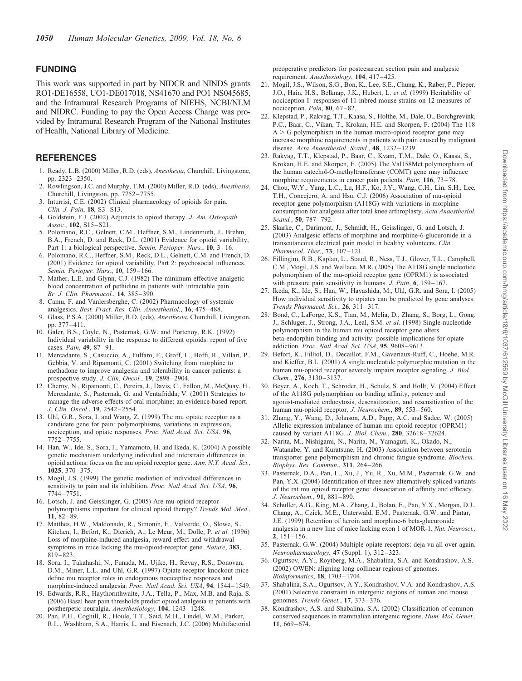# FUNDING

This work was supported in part by NIDCR and NINDS grants RO1-DE16558, UO1-DE017018, NS41670 and PO1 NS045685, and the Intramural Research Programs of NIEHS, NCBI/NLM and NIDRC. Funding to pay the Open Access Charge was provided by Intramural Research Program of the National Institutes of Health, National Library of Medicine.

# **REFERENCES**

- 1. Ready, L.B. (2000) Miller, R.D. (eds), Anesthesia, Churchill, Livingstone, pp. 2323–2350.
- 2. Rowlingson, J.C. and Murphy, T.M. (2000) Miller, R.D. (eds), Anesthesia, Churchill, Livingston, pp. 7752–7755.
- Inturrisi, C.E. (2002) Clinical pharmacology of opioids for pain. Clin. J. Pain, 18, S3–S13.
- 4. Goldstein, F.J. (2002) Adjuncts to opioid therapy. J. Am. Osteopath. Assoc., 102, S15–S21.
- 5. Polomano, R.C., Gelnett, C.M., Heffner, S.M., Lindenmuth, J., Brehm, B.A., French, D. and Reck, D.L. (2001) Evidence for opioid variability, Part 1: a biological perspective. Semin. Perioper. Nurs., 10, 3–16.
- 6. Polomano, R.C., Heffner, S.M., Reck, D.L., Gelnett, C.M. and French, D. (2001) Evidence for opioid variability, Part 2: psychosocial influences. Semin. Perioper. Nurs., 10, 159–166.
- 7. Mather, L.E. and Glynn, C.J. (1982) The minimum effective analgetic blood concentration of pethidine in patients with intractable pain. Br. J. Clin. Pharmacol., 14, 385–390.
- 8. Camu, F. and Vanlersberghe, C. (2002) Pharmacology of systemic analgesics. Best. Pract. Res. Clin. Anaesthesiol., 16, 475–488.
- 9. Glass, P.S.A. (2000) Miller, R.D. (eds), Anesthesia, Churchill, Livingston, pp. 377–411.
- 10. Galer, B.S., Coyle, N., Pasternak, G.W. and Portenoy, R.K. (1992) Individual variability in the response to different opioids: report of five cases. Pain, 49, 87–91.
- 11. Mercadante, S., Casuccio, A., Fulfaro, F., Groff, L., Boffi, R., Villari, P., Gebbia, V. and Ripamonti, C. (2001) Switching from morphine to methadone to improve analgesia and tolerability in cancer patients: a prospective study. J. Clin. Oncol., 19, 2898-2904.
- 12. Cherny, N., Ripamonti, C., Pereira, J., Davis, C., Fallon, M., McQuay, H., Mercadante, S., Pasternak, G. and Ventafridda, V. (2001) Strategies to manage the adverse effects of oral morphine: an evidence-based report. J. Clin. Oncol., 19, 2542–2554.
- 13. Uhl, G.R., Sora, I. and Wang, Z. (1999) The mu opiate receptor as a candidate gene for pain: polymorphisms, variations in expression, nociception, and opiate responses. Proc. Natl Acad. Sci. USA, 96, 7752–7755.
- 14. Han, W., Ide, S., Sora, I., Yamamoto, H. and Ikeda, K. (2004) A possible genetic mechanism underlying individual and interstrain differences in opioid actions: focus on the mu opioid receptor gene. Ann. N.Y. Acad. Sci., 1025, 370–375.
- 15. Mogil, J.S. (1999) The genetic mediation of individual differences in sensitivity to pain and its inhibition. Proc. Natl Acad. Sci. USA, 96, 7744–7751.
- 16. Lotsch, J. and Geisslinger, G. (2005) Are mu-opioid receptor polymorphisms important for clinical opioid therapy? Trends Mol. Med., 11, 82–89.
- 17. Matthes, H.W., Maldonado, R., Simonin, F., Valverde, O., Slowe, S., Kitchen, I., Befort, K., Dierich, A., Le Meur, M., Dolle, P. et al. (1996) Loss of morphine-induced analgesia, reward effect and withdrawal symptoms in mice lacking the mu-opioid-receptor gene. *Nature*, 383, 819–823.
- 18. Sora, I., Takahashi, N., Funada, M., Ujike, H., Revay, R.S., Donovan, D.M., Miner, L.L. and Uhl, G.R. (1997) Opiate receptor knockout mice define mu receptor roles in endogenous nociceptive responses and morphine-induced analgesia. Proc. Natl Acad. Sci. USA, 94, 1544–1549.
- 19. Edwards, R.R., Haythornthwaite, J.A., Tella, P., Max, M.B. and Raja, S. (2006) Basal heat pain thresholds predict opioid analgesia in patients with postherpetic neuralgia. Anesthesiology, 104, 1243–1248.
- 20. Pan, P.H., Coghill, R., Houle, T.T., Seid, M.H., Lindel, W.M., Parker, R.L., Washburn, S.A., Harris, L. and Eisenach, J.C. (2006) Multifactorial

preoperative predictors for postcesarean section pain and analgesic requirement. Anesthesiology, 104, 417-425.

- 21. Mogil, J.S., Wilson, S.G., Bon, K., Lee, S.E., Chung, K., Raber, P., Pieper, J.O., Hain, H.S., Belknap, J.K., Hubert, L. et al. (1999) Heritability of nociception I: responses of 11 inbred mouse strains on 12 measures of nociception. Pain, 80, 67–82.
- 22. Klepstad, P., Rakvag, T.T., Kaasa, S., Holthe, M., Dale, O., Borchgrevink, P.C., Baar, C., Vikan, T., Krokan, H.E. and Skorpen, F. (2004) The 118  $A > G$  polymorphism in the human micro-opioid receptor gene may increase morphine requirements in patients with pain caused by malignant disease. Acta Anaesthesiol. Scand., 48, 1232-1239.
- 23. Rakvag, T.T., Klepstad, P., Baar, C., Kvam, T.M., Dale, O., Kaasa, S., Krokan, H.E. and Skorpen, F. (2005) The Val158Met polymorphism of the human catechol-O-methyltransferase (COMT) gene may influence morphine requirements in cancer pain patients. Pain, 116, 73-78.
- 24. Chou, W.Y., Yang, L.C., Lu, H.F., Ko, J.Y., Wang, C.H., Lin, S.H., Lee, T.H., Concejero, A. and Hsu, C.J. (2006) Association of mu-opioid receptor gene polymorphism (A118G) with variations in morphine consumption for analgesia after total knee arthroplasty. Acta Anaesthesiol. Scand., 50, 787–792.
- 25. Skarke, C., Darimont, J., Schmidt, H., Geisslinger, G. and Lotsch, J. (2003) Analgesic effects of morphine and morphine-6-glucuronide in a transcutaneous electrical pain model in healthy volunteers. Clin. Pharmacol. Ther., 73, 107–121.
- 26. Fillingim, R.B., Kaplan, L., Staud, R., Ness, T.J., Glover, T.L., Campbell, C.M., Mogil, J.S. and Wallace, M.R. (2005) The A118G single nucleotide polymorphism of the mu-opioid receptor gene (OPRM1) is associated with pressure pain sensitivity in humans. J. Pain, 6, 159–167.
- 27. Ikeda, K., Ide, S., Han, W., Hayashida, M., Uhl, G.R. and Sora, I. (2005) How individual sensitivity to opiates can be predicted by gene analyses. Trends Pharmacol. Sci., 26, 311–317.
- 28. Bond, C., LaForge, K.S., Tian, M., Melia, D., Zhang, S., Borg, L., Gong, J., Schluger, J., Strong, J.A., Leal, S.M. et al. (1998) Single-nucleotide polymorphism in the human mu opioid receptor gene alters beta-endorphin binding and activity: possible implications for opiate addiction. Proc. Natl Acad. Sci. USA, 95, 9608–9613.
- 29. Befort, K., Filliol, D., Decaillot, F.M., Gaveriaux-Ruff, C., Hoehe, M.R. and Kieffer, B.L. (2001) A single nucleotide polymorphic mutation in the human mu-opioid receptor severely impairs receptor signaling. J. Biol. Chem., 276, 3130–3137.
- 30. Beyer, A., Koch, T., Schroder, H., Schulz, S. and Hollt, V. (2004) Effect of the A118G polymorphism on binding affinity, potency and agonist-mediated endocytosis, desensitization, and resensitization of the human mu-opioid receptor. J. Neurochem., 89, 553-560.
- 31. Zhang, Y., Wang, D., Johnson, A.D., Papp, A.C. and Sadee, W. (2005) Allelic expression imbalance of human mu opioid receptor (OPRM1) caused by variant A118G. J. Biol. Chem., 280, 32618–32624.
- 32. Narita, M., Nishigami, N., Narita, N., Yamaguti, K., Okado, N., Watanabe, Y. and Kuratsune, H. (2003) Association between serotonin transporter gene polymorphism and chronic fatigue syndrome. Biochem. Biophys. Res. Commun., 311, 264–266.
- 33. Pasternak, D.A., Pan, L., Xu, J., Yu, R., Xu, M.M., Pasternak, G.W. and Pan, Y.X. (2004) Identification of three new alternatively spliced variants of the rat mu opioid receptor gene: dissociation of affinity and efficacy. J. Neurochem., 91, 881–890.
- 34. Schuller, A.G., King, M.A., Zhang, J., Bolan, E., Pan, Y.X., Morgan, D.J., Chang, A., Czick, M.E., Unterwald, E.M., Pasternak, G.W. and Pintar, J.E. (1999) Retention of heroin and morphine-6 beta-glucuronide analgesia in a new line of mice lacking exon 1 of MOR-1. Nat. Neurosci., 2, 151–156.
- 35. Pasternak, G.W. (2004) Multiple opiate receptors: deja vu all over again. Neuropharmacology, 47 (Suppl. 1), 312–323.
- 36. Ogurtsov, A.Y., Roytberg, M.A., Shabalina, S.A. and Kondrashov, A.S. (2002) OWEN: aligning long collinear regions of genomes. Bioinformatics, 18, 1703–1704.
- 37. Shabalina, S.A., Ogurtsov, A.Y., Kondrashov, V.A. and Kondrashov, A.S. (2001) Selective constraint in intergenic regions of human and mouse genomes. Trends Genet., 17, 373–376.
- 38. Kondrashov, A.S. and Shabalina, S.A. (2002) Classification of common conserved sequences in mammalian intergenic regions. Hum. Mol. Genet., 11, 669–674.